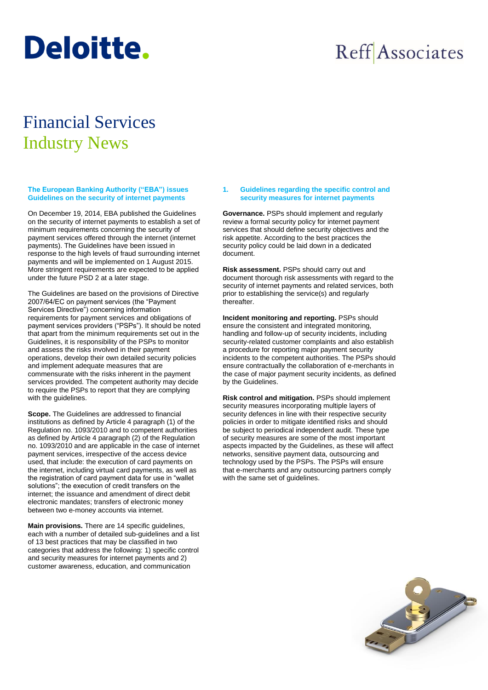# **Deloitte.**

## Reff Associates

### Financial Services Industry News

**The European Banking Authority ("EBA") issues Guidelines on the security of internet payments**

On December 19, 2014, EBA published the Guidelines on the security of internet payments to establish a set of minimum requirements concerning the security of payment services offered through the internet (internet payments). The Guidelines have been issued in response to the high levels of fraud surrounding internet payments and will be implemented on 1 August 2015. More stringent requirements are expected to be applied under the future PSD 2 at a later stage.

The Guidelines are based on the provisions of Directive 2007/64/EC on payment services (the "Payment Services Directive") concerning information requirements for payment services and obligations of payment services providers ("PSPs"). It should be noted that apart from the minimum requirements set out in the Guidelines, it is responsibility of the PSPs to monitor and assess the risks involved in their payment operations, develop their own detailed security policies and implement adequate measures that are commensurate with the risks inherent in the payment services provided. The competent authority may decide to require the PSPs to report that they are complying with the guidelines.

**Scope.** The Guidelines are addressed to financial institutions as defined by Article 4 paragraph (1) of the Regulation no. 1093/2010 and to competent authorities as defined by Article 4 paragraph (2) of the Regulation no. 1093/2010 and are applicable in the case of internet payment services, irrespective of the access device used, that include: the execution of card payments on the internet, including virtual card payments, as well as the registration of card payment data for use in "wallet solutions"; the execution of credit transfers on the internet; the issuance and amendment of direct debit electronic mandates; transfers of electronic money between two e-money accounts via internet.

**Main provisions.** There are 14 specific guidelines, each with a number of detailed sub-guidelines and a list of 13 best practices that may be classified in two categories that address the following: 1) specific control and security measures for internet payments and 2) customer awareness, education, and communication

#### **1. Guidelines regarding the specific control and security measures for internet payments**

**Governance.** PSPs should implement and regularly review a formal security policy for internet payment services that should define security objectives and the risk appetite. According to the best practices the security policy could be laid down in a dedicated document.

**Risk assessment.** PSPs should carry out and document thorough risk assessments with regard to the security of internet payments and related services, both prior to establishing the service(s) and regularly thereafter.

**Incident monitoring and reporting.** PSPs should ensure the consistent and integrated monitoring, handling and follow-up of security incidents, including security-related customer complaints and also establish a procedure for reporting major payment security incidents to the competent authorities. The PSPs should ensure contractually the collaboration of e-merchants in the case of major payment security incidents, as defined by the Guidelines.

**Risk control and mitigation.** PSPs should implement security measures incorporating multiple layers of security defences in line with their respective security policies in order to mitigate identified risks and should be subject to periodical independent audit. These type of security measures are some of the most important aspects impacted by the Guidelines, as these will affect networks, sensitive payment data, outsourcing and technology used by the PSPs. The PSPs will ensure that e-merchants and any outsourcing partners comply with the same set of guidelines.

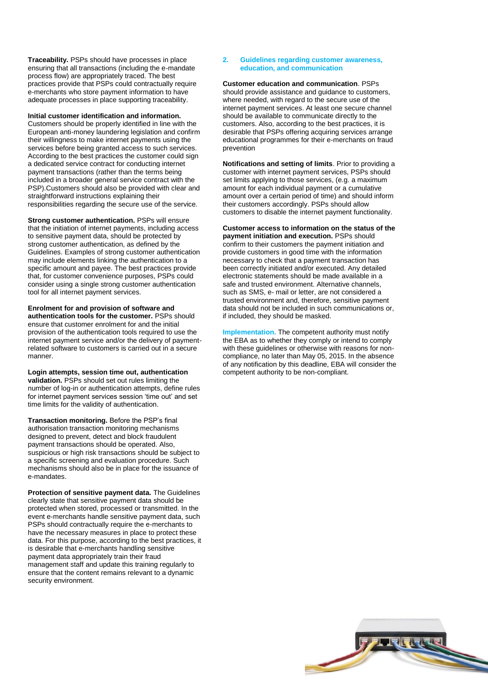**Traceability.** PSPs should have processes in place ensuring that all transactions (including the e-mandate process flow) are appropriately traced. The best practices provide that PSPs could contractually require e-merchants who store payment information to have adequate processes in place supporting traceability.

**Initial customer identification and information.** Customers should be properly identified in line with the European anti-money laundering legislation and confirm their willingness to make internet payments using the services before being granted access to such services. According to the best practices the customer could sign a dedicated service contract for conducting internet payment transactions (rather than the terms being included in a broader general service contract with the PSP).Customers should also be provided with clear and straightforward instructions explaining their responsibilities regarding the secure use of the service.

**Strong customer authentication.** PSPs will ensure that the initiation of internet payments, including access to sensitive payment data, should be protected by strong customer authentication, as defined by the Guidelines. Examples of strong customer authentication may include elements linking the authentication to a specific amount and payee. The best practices provide that, for customer convenience purposes, PSPs could consider using a single strong customer authentication tool for all internet payment services.

**Enrolment for and provision of software and authentication tools for the customer.** PSPs should ensure that customer enrolment for and the initial provision of the authentication tools required to use the internet payment service and/or the delivery of paymentrelated software to customers is carried out in a secure manner.

**Login attempts, session time out, authentication validation.** PSPs should set out rules limiting the number of log-in or authentication attempts, define rules for internet payment services session 'time out' and set time limits for the validity of authentication.

**Transaction monitoring.** Before the PSP's final authorisation transaction monitoring mechanisms designed to prevent, detect and block fraudulent payment transactions should be operated. Also, suspicious or high risk transactions should be subject to a specific screening and evaluation procedure. Such mechanisms should also be in place for the issuance of e-mandates.

**Protection of sensitive payment data.** The Guidelines clearly state that sensitive payment data should be protected when stored, processed or transmitted. In the event e-merchants handle sensitive payment data, such PSPs should contractually require the e-merchants to have the necessary measures in place to protect these data. For this purpose, according to the best practices, it is desirable that e-merchants handling sensitive payment data appropriately train their fraud management staff and update this training regularly to ensure that the content remains relevant to a dynamic security environment.

### **2. Guidelines regarding customer awareness, education, and communication**

**Customer education and communication**. PSPs should provide assistance and guidance to customers, where needed, with regard to the secure use of the internet payment services. At least one secure channel should be available to communicate directly to the customers. Also, according to the best practices, it is desirable that PSPs offering acquiring services arrange educational programmes for their e-merchants on fraud prevention

**Notifications and setting of limits**. Prior to providing a customer with internet payment services, PSPs should set limits applying to those services, (e.g. a maximum amount for each individual payment or a cumulative amount over a certain period of time) and should inform their customers accordingly. PSPs should allow customers to disable the internet payment functionality.

**Customer access to information on the status of the payment initiation and execution.** PSPs should confirm to their customers the payment initiation and provide customers in good time with the information necessary to check that a payment transaction has been correctly initiated and/or executed. Any detailed electronic statements should be made available in a safe and trusted environment. Alternative channels, such as SMS, e- mail or letter, are not considered a trusted environment and, therefore, sensitive payment data should not be included in such communications or, if included, they should be masked.

**Implementation.** The competent authority must notify the EBA as to whether they comply or intend to comply with these guidelines or otherwise with reasons for noncompliance, no later than May 05, 2015. In the absence of any notification by this deadline, EBA will consider the competent authority to be non-compliant.